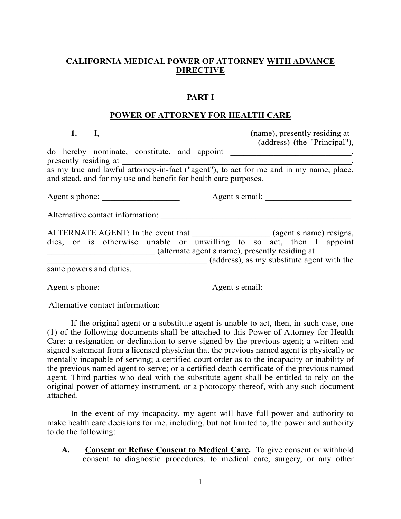# **CALIFORNIA MEDICAL POWER OF ATTORNEY WITH ADVANCE DIRECTIVE**

#### **PART I**

#### **POWER OF ATTORNEY FOR HEALTH CARE**

| 1.                      |                                                                 |                                                                                                                        |
|-------------------------|-----------------------------------------------------------------|------------------------------------------------------------------------------------------------------------------------|
|                         |                                                                 | (address) (the "Principal"),                                                                                           |
|                         |                                                                 |                                                                                                                        |
|                         | and stead, and for my use and benefit for health care purposes. |                                                                                                                        |
|                         | Agent s phone:                                                  | Agent s email:                                                                                                         |
|                         | Alternative contact information:                                |                                                                                                                        |
|                         |                                                                 | ALTERNATE AGENT: In the event that ______________________(agent s name) resigns,                                       |
|                         |                                                                 | dies, or is otherwise unable or unwilling to so act, then I appoint<br>(alternate agent s name), presently residing at |
|                         |                                                                 | (address), as my substitute agent with the                                                                             |
| same powers and duties. |                                                                 |                                                                                                                        |
|                         | Agent s phone:                                                  | Agent s email:                                                                                                         |
|                         | Alternative contact information:                                |                                                                                                                        |

If the original agent or a substitute agent is unable to act, then, in such case, one (1) of the following documents shall be attached to this Power of Attorney for Health Care: a resignation or declination to serve signed by the previous agent; a written and signed statement from a licensed physician that the previous named agent is physically or mentally incapable of serving; a certified court order as to the incapacity or inability of the previous named agent to serve; or a certified death certificate of the previous named agent. Third parties who deal with the substitute agent shall be entitled to rely on the original power of attorney instrument, or a photocopy thereof, with any such document attached.

In the event of my incapacity, my agent will have full power and authority to make health care decisions for me, including, but not limited to, the power and authority to do the following:

**A. Consent or Refuse Consent to Medical Care.** To give consent or withhold consent to diagnostic procedures, to medical care, surgery, or any other

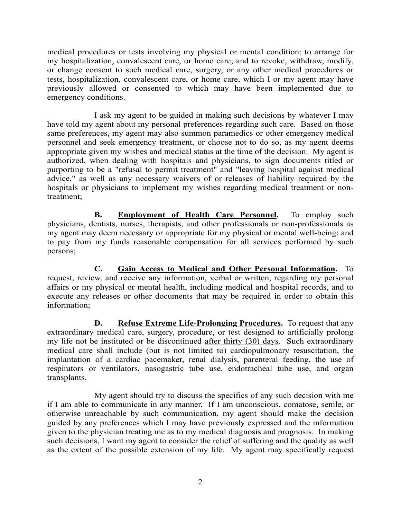medical procedures or tests involving my physical or mental condition; to arrange for my hospitalization, convalescent care, or home care; and to revoke, withdraw, modify, or change consent to such medical care, surgery, or any other medical procedures or tests, hospitalization, convalescent care, or home care, which I or my agent may have previously allowed or consented to which may have been implemented due to emergency conditions.

I ask my agent to be guided in making such decisions by whatever I may have told my agent about my personal preferences regarding such care. Based on those same preferences, my agent may also summon paramedics or other emergency medical personnel and seek emergency treatment, or choose not to do so, as my agent deems appropriate given my wishes and medical status at the time of the decision. My agent is authorized, when dealing with hospitals and physicians, to sign documents titled or purporting to be a "refusal to permit treatment" and "leaving hospital against medical advice," as well as any necessary waivers of or releases of liability required by the hospitals or physicians to implement my wishes regarding medical treatment or nontreatment;

**B.** Employment of Health Care Personnel. To employ such physicians, dentists, nurses, therapists, and other professionals or non-professionals as my agent may deem necessary or appropriate for my physical or mental well-being; and to pay from my funds reasonable compensation for all services performed by such persons;

**C. Gain Access to Medical and Other Personal Information.** To request, review, and receive any information, verbal or written, regarding my personal affairs or my physical or mental health, including medical and hospital records, and to execute any releases or other documents that may be required in order to obtain this information;

**D.** Refuse Extreme Life-Prolonging Procedures. To request that any extraordinary medical care, surgery, procedure, or test designed to artificially prolong my life not be instituted or be discontinued after thirty (30) days. Such extraordinary medical care shall include (but is not limited to) cardiopulmonary resuscitation, the implantation of a cardiac pacemaker, renal dialysis, parenteral feeding, the use of respirators or ventilators, nasogastric tube use, endotracheal tube use, and organ transplants.

My agent should try to discuss the specifics of any such decision with me if I am able to communicate in any manner. If I am unconscious, comatose, senile, or otherwise unreachable by such communication, my agent should make the decision guided by any preferences which I may have previously expressed and the information given to the physician treating me as to my medical diagnosis and prognosis. In making such decisions, I want my agent to consider the relief of suffering and the quality as well as the extent of the possible extension of my life. My agent may specifically request

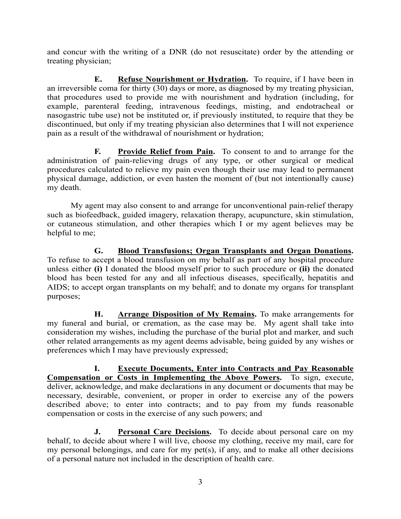and concur with the writing of a DNR (do not resuscitate) order by the attending or treating physician;

**E.** Refuse Nourishment or Hydration. To require, if I have been in an irreversible coma for thirty (30) days or more, as diagnosed by my treating physician, that procedures used to provide me with nourishment and hydration (including, for example, parenteral feeding, intravenous feedings, misting, and endotracheal or nasogastric tube use) not be instituted or, if previously instituted, to require that they be discontinued, but only if my treating physician also determines that I will not experience pain as a result of the withdrawal of nourishment or hydration;

**F. Provide Relief from Pain.** To consent to and to arrange for the administration of pain-relieving drugs of any type, or other surgical or medical procedures calculated to relieve my pain even though their use may lead to permanent physical damage, addiction, or even hasten the moment of (but not intentionally cause) my death.

My agent may also consent to and arrange for unconventional pain-relief therapy such as biofeedback, guided imagery, relaxation therapy, acupuncture, skin stimulation, or cutaneous stimulation, and other therapies which I or my agent believes may be helpful to me;

**G. Blood Transfusions; Organ Transplants and Organ Donations.**  To refuse to accept a blood transfusion on my behalf as part of any hospital procedure unless either **(i)** I donated the blood myself prior to such procedure or **(ii)** the donated blood has been tested for any and all infectious diseases, specifically, hepatitis and AIDS; to accept organ transplants on my behalf; and to donate my organs for transplant purposes;

**H. Arrange Disposition of My Remains.** To make arrangements for my funeral and burial, or cremation, as the case may be. My agent shall take into consideration my wishes, including the purchase of the burial plot and marker, and such other related arrangements as my agent deems advisable, being guided by any wishes or preferences which I may have previously expressed;

**I. Execute Documents, Enter into Contracts and Pay Reasonable Compensation or Costs in Implementing the Above Powers.** To sign, execute, deliver, acknowledge, and make declarations in any document or documents that may be necessary, desirable, convenient, or proper in order to exercise any of the powers described above; to enter into contracts; and to pay from my funds reasonable compensation or costs in the exercise of any such powers; and

**J.** Personal Care Decisions. To decide about personal care on my behalf, to decide about where I will live, choose my clothing, receive my mail, care for my personal belongings, and care for my pet(s), if any, and to make all other decisions of a personal nature not included in the description of health care.

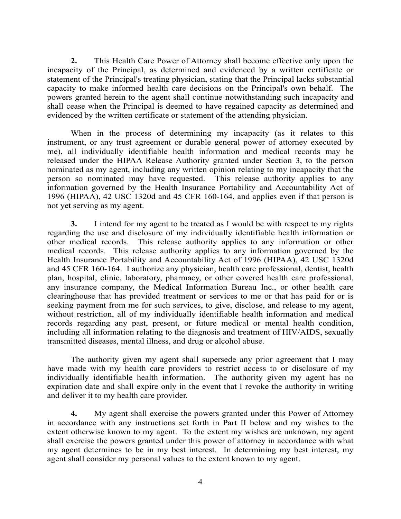**2.** This Health Care Power of Attorney shall become effective only upon the incapacity of the Principal, as determined and evidenced by a written certificate or statement of the Principal's treating physician, stating that the Principal lacks substantial capacity to make informed health care decisions on the Principal's own behalf. The powers granted herein to the agent shall continue notwithstanding such incapacity and shall cease when the Principal is deemed to have regained capacity as determined and evidenced by the written certificate or statement of the attending physician.

When in the process of determining my incapacity (as it relates to this instrument, or any trust agreement or durable general power of attorney executed by me), all individually identifiable health information and medical records may be released under the HIPAA Release Authority granted under Section 3, to the person nominated as my agent, including any written opinion relating to my incapacity that the person so nominated may have requested. This release authority applies to any information governed by the Health Insurance Portability and Accountability Act of 1996 (HIPAA), 42 USC 1320d and 45 CFR 160-164, and applies even if that person is not yet serving as my agent.

**3.** I intend for my agent to be treated as I would be with respect to my rights regarding the use and disclosure of my individually identifiable health information or other medical records. This release authority applies to any information or other medical records. This release authority applies to any information governed by the Health Insurance Portability and Accountability Act of 1996 (HIPAA), 42 USC 1320d and 45 CFR 160-164. I authorize any physician, health care professional, dentist, health plan, hospital, clinic, laboratory, pharmacy, or other covered health care professional, any insurance company, the Medical Information Bureau Inc., or other health care clearinghouse that has provided treatment or services to me or that has paid for or is seeking payment from me for such services, to give, disclose, and release to my agent, without restriction, all of my individually identifiable health information and medical records regarding any past, present, or future medical or mental health condition, including all information relating to the diagnosis and treatment of HIV/AIDS, sexually transmitted diseases, mental illness, and drug or alcohol abuse.

The authority given my agent shall supersede any prior agreement that I may have made with my health care providers to restrict access to or disclosure of my individually identifiable health information. The authority given my agent has no expiration date and shall expire only in the event that I revoke the authority in writing and deliver it to my health care provider.

**4.** My agent shall exercise the powers granted under this Power of Attorney in accordance with any instructions set forth in Part II below and my wishes to the extent otherwise known to my agent. To the extent my wishes are unknown, my agent shall exercise the powers granted under this power of attorney in accordance with what my agent determines to be in my best interest. In determining my best interest, my agent shall consider my personal values to the extent known to my agent.

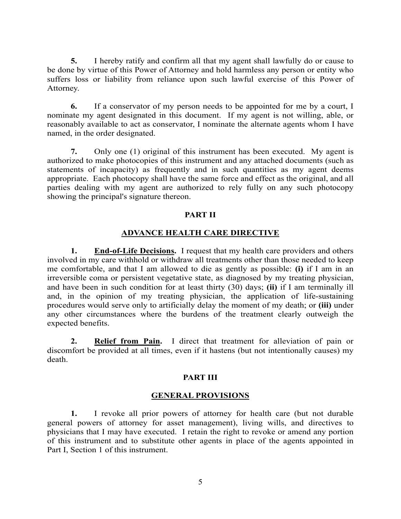**5.** I hereby ratify and confirm all that my agent shall lawfully do or cause to be done by virtue of this Power of Attorney and hold harmless any person or entity who suffers loss or liability from reliance upon such lawful exercise of this Power of Attorney.

**6.** If a conservator of my person needs to be appointed for me by a court, I nominate my agent designated in this document. If my agent is not willing, able, or reasonably available to act as conservator, I nominate the alternate agents whom I have named, in the order designated.

**7.** Only one (1) original of this instrument has been executed. My agent is authorized to make photocopies of this instrument and any attached documents (such as statements of incapacity) as frequently and in such quantities as my agent deems appropriate. Each photocopy shall have the same force and effect as the original, and all parties dealing with my agent are authorized to rely fully on any such photocopy showing the principal's signature thereon.

## **PART II**

## **ADVANCE HEALTH CARE DIRECTIVE**

**1.** End-of-Life Decisions. I request that my health care providers and others involved in my care withhold or withdraw all treatments other than those needed to keep me comfortable, and that I am allowed to die as gently as possible: **(i)** if I am in an irreversible coma or persistent vegetative state, as diagnosed by my treating physician, and have been in such condition for at least thirty (30) days; **(ii)** if I am terminally ill and, in the opinion of my treating physician, the application of life-sustaining procedures would serve only to artificially delay the moment of my death; or **(iii)** under any other circumstances where the burdens of the treatment clearly outweigh the expected benefits.

**2. Relief from Pain.** I direct that treatment for alleviation of pain or discomfort be provided at all times, even if it hastens (but not intentionally causes) my death.

### **PART III**

## **GENERAL PROVISIONS**

**1.** I revoke all prior powers of attorney for health care (but not durable general powers of attorney for asset management), living wills, and directives to physicians that I may have executed. I retain the right to revoke or amend any portion of this instrument and to substitute other agents in place of the agents appointed in Part I, Section 1 of this instrument.

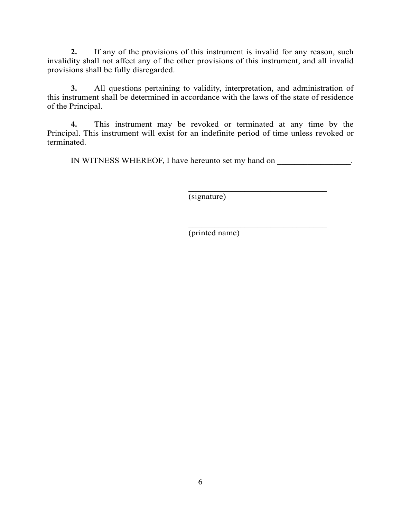**2.** If any of the provisions of this instrument is invalid for any reason, such invalidity shall not affect any of the other provisions of this instrument, and all invalid provisions shall be fully disregarded.

**3.** All questions pertaining to validity, interpretation, and administration of this instrument shall be determined in accordance with the laws of the state of residence of the Principal.

**4.** This instrument may be revoked or terminated at any time by the Principal. This instrument will exist for an indefinite period of time unless revoked or terminated.

IN WITNESS WHEREOF, I have hereunto set my hand on \_\_\_\_\_\_\_\_\_\_\_\_\_\_\_\_\_.

\_\_\_\_\_\_\_\_\_\_\_\_\_\_\_\_\_\_\_\_\_\_\_\_\_\_\_\_\_\_\_\_ (signature)

\_\_\_\_\_\_\_\_\_\_\_\_\_\_\_\_\_\_\_\_\_\_\_\_\_\_\_\_\_\_\_\_ (printed name)

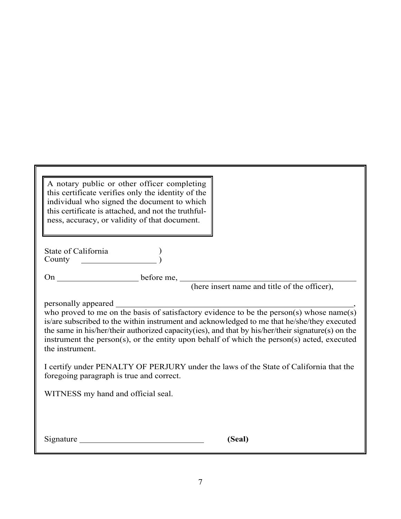| A notary public or other officer completing<br>this certificate verifies only the identity of the<br>individual who signed the document to which<br>this certificate is attached, and not the truthful-<br>ness, accuracy, or validity of that document.                                                                                                                                                                                                                                                                                                                                                        |  |  |
|-----------------------------------------------------------------------------------------------------------------------------------------------------------------------------------------------------------------------------------------------------------------------------------------------------------------------------------------------------------------------------------------------------------------------------------------------------------------------------------------------------------------------------------------------------------------------------------------------------------------|--|--|
| County                                                                                                                                                                                                                                                                                                                                                                                                                                                                                                                                                                                                          |  |  |
|                                                                                                                                                                                                                                                                                                                                                                                                                                                                                                                                                                                                                 |  |  |
| personally appeared<br>who proved to me on the basis of satisfactory evidence to be the person(s) whose name(s)<br>is/are subscribed to the within instrument and acknowledged to me that he/she/they executed<br>the same in his/her/their authorized capacity(ies), and that by his/her/their signature(s) on the<br>instrument the person(s), or the entity upon behalf of which the person(s) acted, executed<br>the instrument.<br>I certify under PENALTY OF PERJURY under the laws of the State of California that the<br>foregoing paragraph is true and correct.<br>WITNESS my hand and official seal. |  |  |
| Signature<br>(Seal)                                                                                                                                                                                                                                                                                                                                                                                                                                                                                                                                                                                             |  |  |

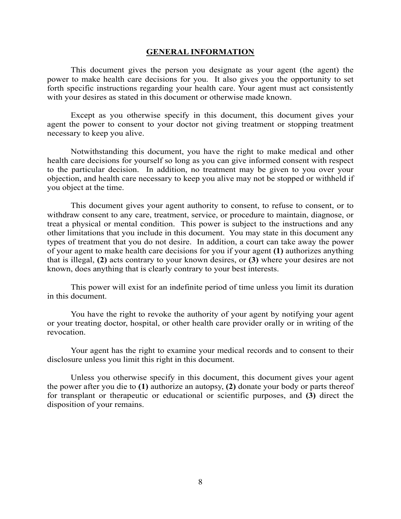#### **GENERAL INFORMATION**

This document gives the person you designate as your agent (the agent) the power to make health care decisions for you. It also gives you the opportunity to set forth specific instructions regarding your health care. Your agent must act consistently with your desires as stated in this document or otherwise made known.

Except as you otherwise specify in this document, this document gives your agent the power to consent to your doctor not giving treatment or stopping treatment necessary to keep you alive.

Notwithstanding this document, you have the right to make medical and other health care decisions for yourself so long as you can give informed consent with respect to the particular decision. In addition, no treatment may be given to you over your objection, and health care necessary to keep you alive may not be stopped or withheld if you object at the time.

This document gives your agent authority to consent, to refuse to consent, or to withdraw consent to any care, treatment, service, or procedure to maintain, diagnose, or treat a physical or mental condition. This power is subject to the instructions and any other limitations that you include in this document. You may state in this document any types of treatment that you do not desire. In addition, a court can take away the power of your agent to make health care decisions for you if your agent **(1)** authorizes anything that is illegal, **(2)** acts contrary to your known desires, or **(3)** where your desires are not known, does anything that is clearly contrary to your best interests.

This power will exist for an indefinite period of time unless you limit its duration in this document.

You have the right to revoke the authority of your agent by notifying your agent or your treating doctor, hospital, or other health care provider orally or in writing of the revocation.

Your agent has the right to examine your medical records and to consent to their disclosure unless you limit this right in this document.

Unless you otherwise specify in this document, this document gives your agent the power after you die to **(1)** authorize an autopsy, **(2)** donate your body or parts thereof for transplant or therapeutic or educational or scientific purposes, and **(3)** direct the disposition of your remains.